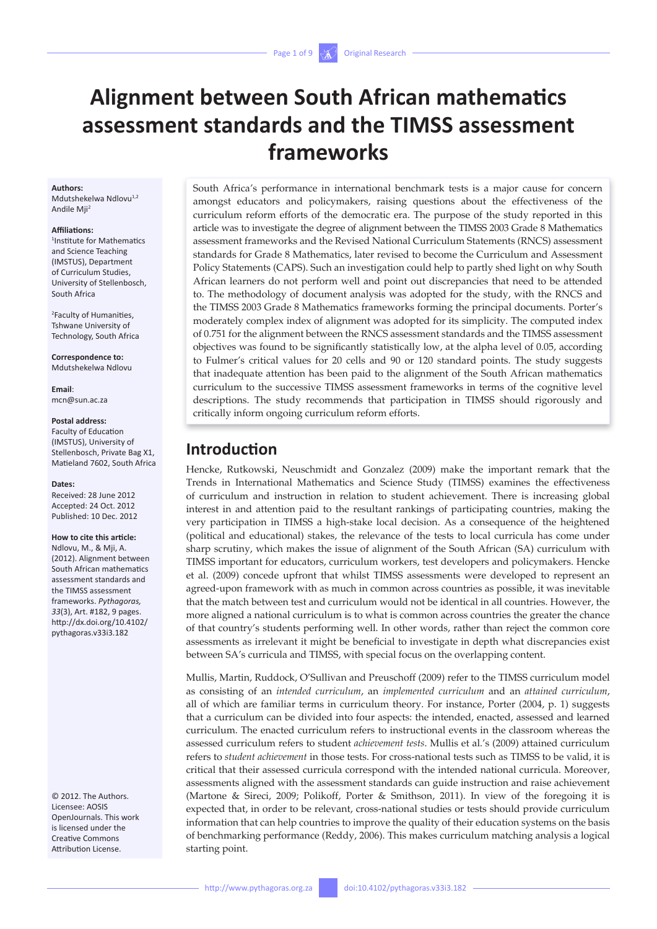# **Alignment between South African mathematics assessment standards and the TIMSS assessment frameworks**

#### **Authors:**

Mdutshekelwa Ndlovu<sup>1,2</sup> Andile Mii<sup>2</sup>

#### **Affiliations:**

1 Institute for Mathematics and Science Teaching (IMSTUS), Department of Curriculum Studies, University of Stellenbosch, South Africa

2 Faculty of Humanities, Tshwane University of Technology, South Africa

**Correspondence to:** Mdutshekelwa Ndlovu

**Email**: [mcn@sun.ac.za](mailto:mcn@sun.ac.za)

#### **Postal address:**

Faculty of Education (IMSTUS), University of Stellenbosch, Private Bag X1, Matieland 7602, South Africa

#### **Dates:**

Received: 28 June 2012 Accepted: 24 Oct. 2012 Published: 10 Dec. 2012

#### **How to cite this article:**

Ndlovu, M., & Mji, A. (2012). Alignment between South African mathematics assessment standards and the TIMSS assessment frameworks. *Pythagoras, 33*(3), Art. #182, 9 pages. [http://dx.doi.org/10.4102/](http://dx.doi.org/10.4102/pythagoras.v33i3.182) [pythagoras.v33i3.182](http://dx.doi.org/10.4102/pythagoras.v33i3.182)

© 2012. The Authors. Licensee: AOSIS OpenJournals. This work is licensed under the Creative Commons Attribution License.

South Africa's performance in international benchmark tests is a major cause for concern amongst educators and policymakers, raising questions about the effectiveness of the curriculum reform efforts of the democratic era. The purpose of the study reported in this article was to investigate the degree of alignment between the TIMSS 2003 Grade 8 Mathematics assessment frameworks and the Revised National Curriculum Statements (RNCS) assessment standards for Grade 8 Mathematics, later revised to become the Curriculum and Assessment Policy Statements (CAPS). Such an investigation could help to partly shed light on why South African learners do not perform well and point out discrepancies that need to be attended to. The methodology of document analysis was adopted for the study, with the RNCS and the TIMSS 2003 Grade 8 Mathematics frameworks forming the principal documents. Porter's moderately complex index of alignment was adopted for its simplicity. The computed index of 0.751 for the alignment between the RNCS assessment standards and the TIMSS assessment objectives was found to be significantly statistically low, at the alpha level of 0.05, according to Fulmer's critical values for 20 cells and 90 or 120 standard points. The study suggests that inadequate attention has been paid to the alignment of the South African mathematics curriculum to the successive TIMSS assessment frameworks in terms of the cognitive level descriptions. The study recommends that participation in TIMSS should rigorously and critically inform ongoing curriculum reform efforts.

# **Introduction**

Hencke, Rutkowski, Neuschmidt and Gonzalez (2009) make the important remark that the Trends in International Mathematics and Science Study (TIMSS) examines the effectiveness of curriculum and instruction in relation to student achievement. There is increasing global interest in and attention paid to the resultant rankings of participating countries, making the very participation in TIMSS a high-stake local decision. As a consequence of the heightened (political and educational) stakes, the relevance of the tests to local curricula has come under sharp scrutiny, which makes the issue of alignment of the South African (SA) curriculum with TIMSS important for educators, curriculum workers, test developers and policymakers. Hencke et al. (2009) concede upfront that whilst TIMSS assessments were developed to represent an agreed-upon framework with as much in common across countries as possible, it was inevitable that the match between test and curriculum would not be identical in all countries. However, the more aligned a national curriculum is to what is common across countries the greater the chance of that country's students performing well. In other words, rather than reject the common core assessments as irrelevant it might be beneficial to investigate in depth what discrepancies exist between SA's curricula and TIMSS, with special focus on the overlapping content.

Mullis, Martin, Ruddock, O'Sullivan and Preuschoff (2009) refer to the TIMSS curriculum model as consisting of an *intended curriculum*, an *implemented curriculum* and an *attained curriculum*, all of which are familiar terms in curriculum theory. For instance, Porter (2004, p. 1) suggests that a curriculum can be divided into four aspects: the intended, enacted, assessed and learned curriculum. The enacted curriculum refers to instructional events in the classroom whereas the assessed curriculum refers to student *achievement tests*. Mullis et al.'s (2009) attained curriculum refers to *student achievement* in those tests. For cross-national tests such as TIMSS to be valid, it is critical that their assessed curricula correspond with the intended national curricula. Moreover, assessments aligned with the assessment standards can guide instruction and raise achievement (Martone & Sireci, 2009; Polikoff, Porter & Smithson, 2011). In view of the foregoing it is expected that, in order to be relevant, cross-national studies or tests should provide curriculum information that can help countries to improve the quality of their education systems on the basis of benchmarking performance (Reddy, 2006). This makes curriculum matching analysis a logical starting point.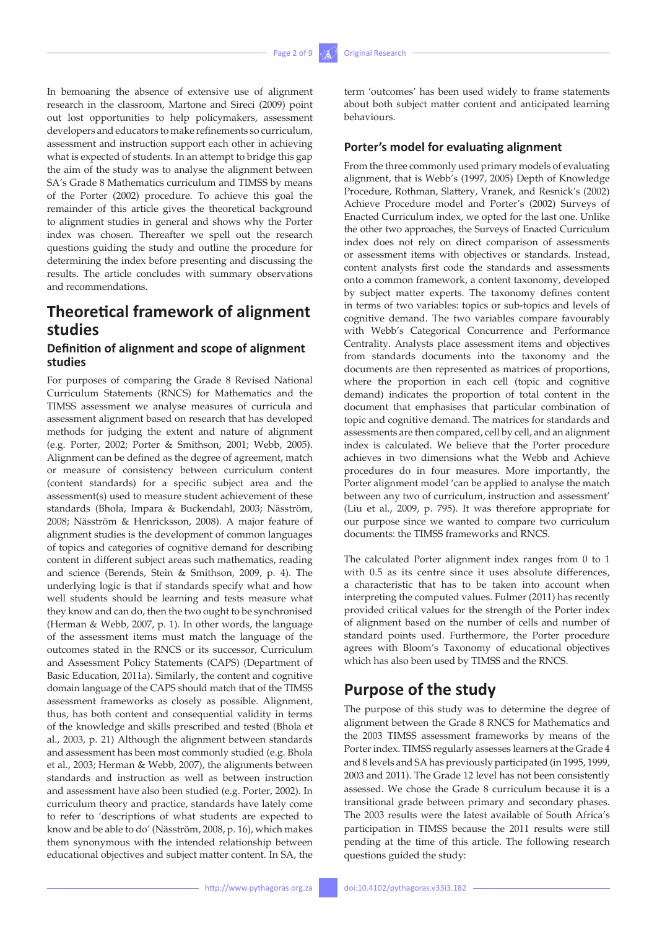In bemoaning the absence of extensive use of alignment research in the classroom, Martone and Sireci (2009) point out lost opportunities to help policymakers, assessment developers and educators to make refinements so curriculum, assessment and instruction support each other in achieving what is expected of students. In an attempt to bridge this gap the aim of the study was to analyse the alignment between SA's Grade 8 Mathematics curriculum and TIMSS by means of the Porter (2002) procedure. To achieve this goal the remainder of this article gives the theoretical background to alignment studies in general and shows why the Porter index was chosen. Thereafter we spell out the research questions guiding the study and outline the procedure for determining the index before presenting and discussing the results. The article concludes with summary observations and recommendations.

# **Theoretical framework of alignment studies**

### **Definition of alignment and scope of alignment studies**

For purposes of comparing the Grade 8 Revised National Curriculum Statements (RNCS) for Mathematics and the TIMSS assessment we analyse measures of curricula and assessment alignment based on research that has developed methods for judging the extent and nature of alignment (e.g. Porter, 2002; Porter & Smithson, 2001; Webb, 2005). Alignment can be defined as the degree of agreement, match or measure of consistency between curriculum content (content standards) for a specific subject area and the assessment(s) used to measure student achievement of these standards (Bhola, Impara & Buckendahl, 2003; Näsström, 2008; Näsström & Henricksson, 2008). A major feature of alignment studies is the development of common languages of topics and categories of cognitive demand for describing content in different subject areas such mathematics, reading and science (Berends, Stein & Smithson, 2009, p. 4). The underlying logic is that if standards specify what and how well students should be learning and tests measure what they know and can do, then the two ought to be synchronised (Herman & Webb, 2007, p. 1). In other words, the language of the assessment items must match the language of the outcomes stated in the RNCS or its successor, Curriculum and Assessment Policy Statements (CAPS) (Department of Basic Education, 2011a). Similarly, the content and cognitive domain language of the CAPS should match that of the TIMSS assessment frameworks as closely as possible. Alignment, thus, has both content and consequential validity in terms of the knowledge and skills prescribed and tested (Bhola et al., 2003, p. 21) Although the alignment between standards and assessment has been most commonly studied (e.g. Bhola et al., 2003; Herman & Webb, 2007), the alignments between standards and instruction as well as between instruction and assessment have also been studied (e.g. Porter, 2002). In curriculum theory and practice, standards have lately come to refer to 'descriptions of what students are expected to know and be able to do' (Näsström, 2008, p. 16), which makes them synonymous with the intended relationship between educational objectives and subject matter content. In SA, the

term 'outcomes' has been used widely to frame statements about both subject matter content and anticipated learning behaviours.

#### **Porter's model for evaluating alignment**

From the three commonly used primary models of evaluating alignment, that is Webb's (1997, 2005) Depth of Knowledge Procedure, Rothman, Slattery, Vranek, and Resnick's (2002) Achieve Procedure model and Porter's (2002) Surveys of Enacted Curriculum index, we opted for the last one. Unlike the other two approaches, the Surveys of Enacted Curriculum index does not rely on direct comparison of assessments or assessment items with objectives or standards. Instead, content analysts first code the standards and assessments onto a common framework, a content taxonomy, developed by subject matter experts. The taxonomy defines content in terms of two variables: topics or sub-topics and levels of cognitive demand. The two variables compare favourably with Webb's Categorical Concurrence and Performance Centrality. Analysts place assessment items and objectives from standards documents into the taxonomy and the documents are then represented as matrices of proportions, where the proportion in each cell (topic and cognitive demand) indicates the proportion of total content in the document that emphasises that particular combination of topic and cognitive demand. The matrices for standards and assessments are then compared, cell by cell, and an alignment index is calculated. We believe that the Porter procedure achieves in two dimensions what the Webb and Achieve procedures do in four measures. More importantly, the Porter alignment model 'can be applied to analyse the match between any two of curriculum, instruction and assessment' (Liu et al., 2009, p. 795). It was therefore appropriate for our purpose since we wanted to compare two curriculum documents: the TIMSS frameworks and RNCS.

The calculated Porter alignment index ranges from 0 to 1 with 0.5 as its centre since it uses absolute differences, a characteristic that has to be taken into account when interpreting the computed values. Fulmer (2011) has recently provided critical values for the strength of the Porter index of alignment based on the number of cells and number of standard points used. Furthermore, the Porter procedure agrees with Bloom's Taxonomy of educational objectives which has also been used by TIMSS and the RNCS.

# **Purpose of the study**

The purpose of this study was to determine the degree of alignment between the Grade 8 RNCS for Mathematics and the 2003 TIMSS assessment frameworks by means of the Porter index. TIMSS regularly assesses learners at the Grade 4 and 8 levels and SA has previously participated (in 1995, 1999, 2003 and 2011). The Grade 12 level has not been consistently assessed. We chose the Grade 8 curriculum because it is a transitional grade between primary and secondary phases. The 2003 results were the latest available of South Africa's participation in TIMSS because the 2011 results were still pending at the time of this article. The following research questions guided the study: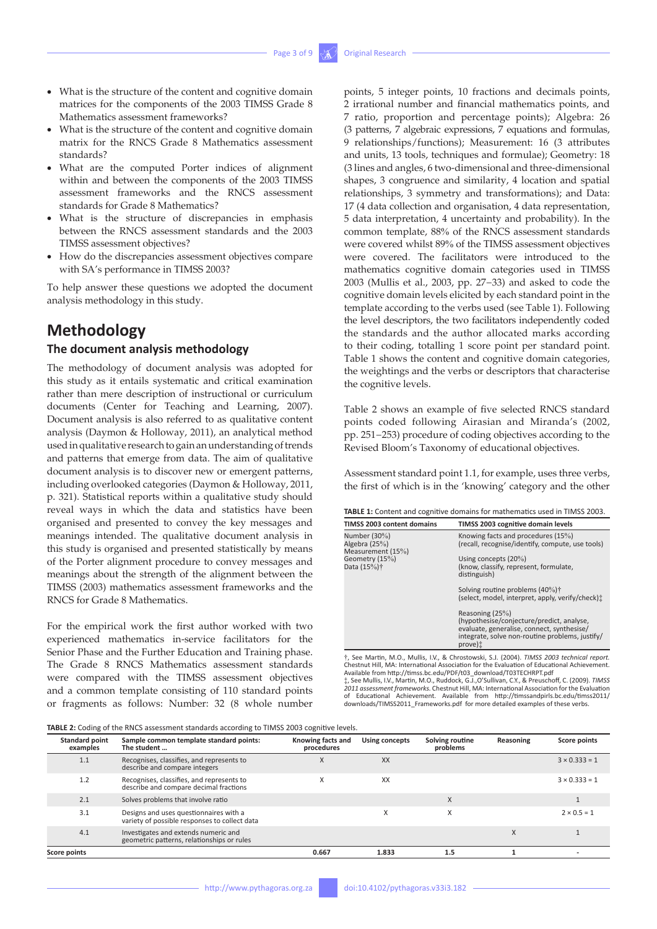- What is the structure of the content and cognitive domain matrices for the components of the 2003 TIMSS Grade 8 Mathematics assessment frameworks?
- What is the structure of the content and cognitive domain matrix for the RNCS Grade 8 Mathematics assessment standards?
- What are the computed Porter indices of alignment within and between the components of the 2003 TIMSS assessment frameworks and the RNCS assessment standards for Grade 8 Mathematics?
- What is the structure of discrepancies in emphasis between the RNCS assessment standards and the 2003 TIMSS assessment objectives?
- • How do the discrepancies assessment objectives compare with SA's performance in TIMSS 2003?

To help answer these questions we adopted the document analysis methodology in this study.

# **Methodology**

#### **The document analysis methodology**

The methodology of document analysis was adopted for this study as it entails systematic and critical examination rather than mere description of instructional or curriculum documents (Center for Teaching and Learning, 2007). Document analysis is also referred to as qualitative content analysis (Daymon & Holloway, 2011), an analytical method used in qualitative research to gain an understanding of trends and patterns that emerge from data. The aim of qualitative document analysis is to discover new or emergent patterns, including overlooked categories (Daymon & Holloway, 2011, p. 321). Statistical reports within a qualitative study should reveal ways in which the data and statistics have been organised and presented to convey the key messages and meanings intended. The qualitative document analysis in this study is organised and presented statistically by means of the Porter alignment procedure to convey messages and meanings about the strength of the alignment between the TIMSS (2003) mathematics assessment frameworks and the RNCS for Grade 8 Mathematics.

For the empirical work the first author worked with two experienced mathematics in-service facilitators for the Senior Phase and the Further Education and Training phase. The Grade 8 RNCS Mathematics assessment standards were compared with the TIMSS assessment objectives and a common template consisting of 110 standard points or fragments as follows: Number: 32 (8 whole number points, 5 integer points, 10 fractions and decimals points, 2 irrational number and financial mathematics points, and 7 ratio, proportion and percentage points); Algebra: 26 (3 patterns, 7 algebraic expressions, 7 equations and formulas, 9 relationships/functions); Measurement: 16 (3 attributes and units, 13 tools, techniques and formulae); Geometry: 18 (3 lines and angles, 6 two-dimensional and three-dimensional shapes, 3 congruence and similarity, 4 location and spatial relationships, 3 symmetry and transformations); and Data: 17 (4 data collection and organisation, 4 data representation, 5 data interpretation, 4 uncertainty and probability). In the common template, 88% of the RNCS assessment standards were covered whilst 89% of the TIMSS assessment objectives were covered. The facilitators were introduced to the mathematics cognitive domain categories used in TIMSS 2003 (Mullis et al., 2003, pp. 27−33) and asked to code the cognitive domain levels elicited by each standard point in the template according to the verbs used (see Table 1). Following the level descriptors, the two facilitators independently coded the standards and the author allocated marks according to their coding, totalling 1 score point per standard point. Table 1 shows the content and cognitive domain categories, the weightings and the verbs or descriptors that characterise the cognitive levels.

Table 2 shows an example of five selected RNCS standard points coded following Airasian and Miranda's (2002, pp. 251−253) procedure of coding objectives according to the Revised Bloom's Taxonomy of educational objectives.

Assessment standard point 1.1, for example, uses three verbs, the first of which is in the 'knowing' category and the other

| <b>TABLE 1:</b> Content and cognitive domains for mathematics used in TIMSS 2003. |
|-----------------------------------------------------------------------------------|
|-----------------------------------------------------------------------------------|

| <b>TIMSS 2003 content domains</b>                  | TIMSS 2003 cognitive domain levels                                                                                                                                                   |
|----------------------------------------------------|--------------------------------------------------------------------------------------------------------------------------------------------------------------------------------------|
| Number (30%)<br>Algebra (25%)<br>Measurement (15%) | Knowing facts and procedures (15%)<br>(recall, recognise/identify, compute, use tools)                                                                                               |
| Geometry (15%)<br>Data (15%)†                      | Using concepts $(20\%)$<br>(know, classify, represent, formulate,<br>distinguish)                                                                                                    |
|                                                    | Solving routine problems (40%)†<br>(select, model, interpret, apply, verify/check);                                                                                                  |
|                                                    | Reasoning (25%)<br>(hypothesise/conjecture/predict, analyse,<br>evaluate, generalise, connect, synthesise/<br>integrate, solve non-routine problems, justify/<br>prove) <sup>†</sup> |

†, See Martin, M.O., Mullis, I.V., & Chrostowski, S.J. (2004). *TIMSS 2003 technical report.* Chestnut Hill, MA: International Association for the Evaluation of Educational Achievement. Available from [http://timss.bc.edu/PDF/t03\\_download/T03TECHRPT.pdf](http://timss.bc.edu/PDF/t03_download/T03TECHRPT.pdf) ‡, See Mullis, I.V., Martin, M.O., Ruddock, G.J.,O'Sullivan, C.Y., & Preuschoff, C. (2009). *TIMSS*<br>2011 assessment frameworks. Chestnut Hill, MA: International Association for the Evaluation<br>of Educational Achievement [downloads/TIMSS2011\\_Frameworks.pdf](http://timssandpirls.bc.edu/timss2011/downloads/TIMSS2011_Frameworks.pdf) for more detailed examples of these verbs.

**TABLE 2:** Coding of the RNCS assessment standards according to TIMSS 2003 cognitive levels.

| <b>Standard point</b><br>examples | Sample common template standard points:<br>The student                                  | Knowing facts and<br>procedures | Using concepts | Solving routine<br>problems | Reasoning | Score points         |
|-----------------------------------|-----------------------------------------------------------------------------------------|---------------------------------|----------------|-----------------------------|-----------|----------------------|
| 1.1                               | Recognises, classifies, and represents to<br>describe and compare integers              | X                               | <b>XX</b>      |                             |           | $3 \times 0.333 = 1$ |
| 1.2                               | Recognises, classifies, and represents to<br>describe and compare decimal fractions     |                                 | XX             |                             |           | $3 \times 0.333 = 1$ |
| 2.1                               | Solves problems that involve ratio                                                      |                                 |                | X                           |           |                      |
| 3.1                               | Designs and uses questionnaires with a<br>variety of possible responses to collect data |                                 |                | X                           |           | $2 \times 0.5 = 1$   |
| 4.1                               | Investigates and extends numeric and<br>geometric patterns, relationships or rules      |                                 |                |                             | X         |                      |
| Score points                      |                                                                                         | 0.667                           | 1.833          | 1.5                         |           |                      |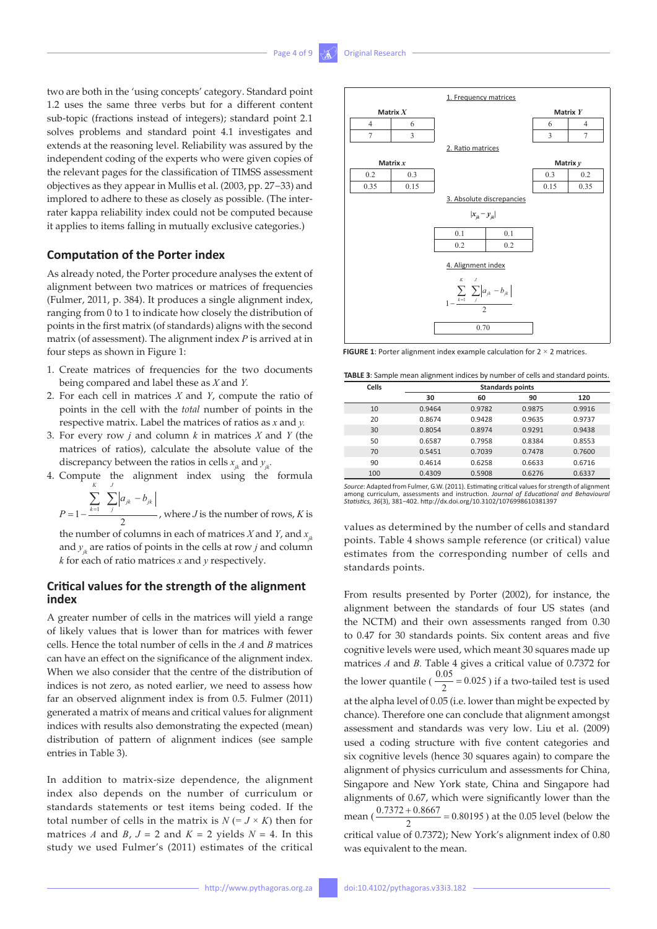two are both in the 'using concepts' category. Standard point 1.2 uses the same three verbs but for a different content sub-topic (fractions instead of integers); standard point 2.1 solves problems and standard point 4.1 investigates and extends at the reasoning level. Reliability was assured by the independent coding of the experts who were given copies of the relevant pages for the classification of TIMSS assessment objectives as they appear in Mullis et al. (2003, pp. 27−33) and implored to adhere to these as closely as possible. (The interrater kappa reliability index could not be computed because it applies to items falling in mutually exclusive categories.)

#### **Computation of the Porter index**

As already noted, the Porter procedure analyses the extent of alignment between two matrices or matrices of frequencies (Fulmer, 2011, p. 384). It produces a single alignment index, ranging from 0 to 1 to indicate how closely the distribution of points in the first matrix (of standards) aligns with the second matrix (of assessment). The alignment index *P* is arrived at in four steps as shown in Figure 1:

- 1. Create matrices of frequencies for the two documents being compared and label these as *X* and *Y.*
- 2. For each cell in matrices *X* and *Y*, compute the ratio of points in the cell with the *total* number of points in the respective matrix. Label the matrices of ratios as *x* and *y.*
- 3. For every row *j* and column *k* in matrices *X* and *Y* (the matrices of ratios), calculate the absolute value of the discrepancy between the ratios in cells  $x_{ik}$  and  $y_{ik}$ .
- 4. Compute the alignment index using the formula *K J*

 $P=1-\frac{k-1}{2}$ , where *J* is the number of rows, *K* is  $a_{ik}$  –  $b$  $= 1 - \frac{\sum_{k=1}^{k} \frac{\sum_{j} |a_{jk}|}{j} b_{jk}}{2}$ −  $\sum_{k=1}$   $\sum_{j}$  $1-\frac{1}{2}$ 1

the number of columns in each of matrices *X* and *Y*, and  $x_k$ and  $y_{ik}$  are ratios of points in the cells at row *j* and column *k* for each of ratio matrices *x* and *y* respectively.

### **Critical values for the strength of the alignment index**

A greater number of cells in the matrices will yield a range of likely values that is lower than for matrices with fewer cells. Hence the total number of cells in the *A* and *B* matrices can have an effect on the significance of the alignment index. When we also consider that the centre of the distribution of indices is not zero, as noted earlier, we need to assess how far an observed alignment index is from 0.5. Fulmer (2011) generated a matrix of means and critical values for alignment indices with results also demonstrating the expected (mean) distribution of pattern of alignment indices (see sample entries in Table 3).

In addition to matrix-size dependence, the alignment index also depends on the number of curriculum or standards statements or test items being coded. If the total number of cells in the matrix is  $N (= J \times K)$  then for matrices *A* and *B*,  $J = 2$  and  $K = 2$  yields  $N = 4$ . In this study we used Fulmer's (2011) estimates of the critical



**FIGURE 1**: Porter alignment index example calculation for 2  $\times$  2 matrices.

**TABLE 3**: Sample mean alignment indices by number of cells and standard points.

| Cells | <b>Standards points</b> |        |        |        |  |
|-------|-------------------------|--------|--------|--------|--|
|       | 30                      | 60     | 90     | 120    |  |
| 10    | 0.9464                  | 0.9782 | 0.9875 | 0.9916 |  |
| 20    | 0.8674                  | 0.9428 | 0.9635 | 0.9737 |  |
| 30    | 0.8054                  | 0.8974 | 0.9291 | 0.9438 |  |
| 50    | 0.6587                  | 0.7958 | 0.8384 | 0.8553 |  |
| 70    | 0.5451                  | 0.7039 | 0.7478 | 0.7600 |  |
| 90    | 0.4614                  | 0.6258 | 0.6633 | 0.6716 |  |
| 100   | 0.4309                  | 0.5908 | 0.6276 | 0.6337 |  |

*Source*: Adapted from Fulmer, G.W. (2011). Estimating critical values for strength of alignment among curriculum, assessments and instruction. *Journal of Educational and Behavioural Statistics, 36*(3), 381−402.<http://dx.doi.org/10.3102/1076998610381397>

values as determined by the number of cells and standard points. Table 4 shows sample reference (or critical) value estimates from the corresponding number of cells and standards points.

From results presented by Porter (2002), for instance, the alignment between the standards of four US states (and the NCTM) and their own assessments ranged from 0.30 to 0.47 for 30 standards points. Six content areas and five cognitive levels were used, which meant 30 squares made up matrices *A* and *B*. Table 4 gives a critical value of 0.7372 for the lower quantile (  $\frac{0.05}{2}$  = 0.025) if a two-tailed test is used at the alpha level of 0.05 (i.e. lower than might be expected by chance). Therefore one can conclude that alignment amongst assessment and standards was very low. Liu et al. (2009) used a coding structure with five content categories and six cognitive levels (hence 30 squares again) to compare the alignment of physics curriculum and assessments for China, Singapore and New York state, China and Singapore had alignments of 0.67, which were significantly lower than the mean  $\left(\frac{0.7372 + 0.8667}{2}\right)$  = 0.80195) at the 0.05 level (below the critical value of 0.7372); New York's alignment index of 0.80 was equivalent to the mean.  $\frac{0.05}{2} = 0.025$  $\frac{0.7372 + 0.8667}{2} = 0.80195$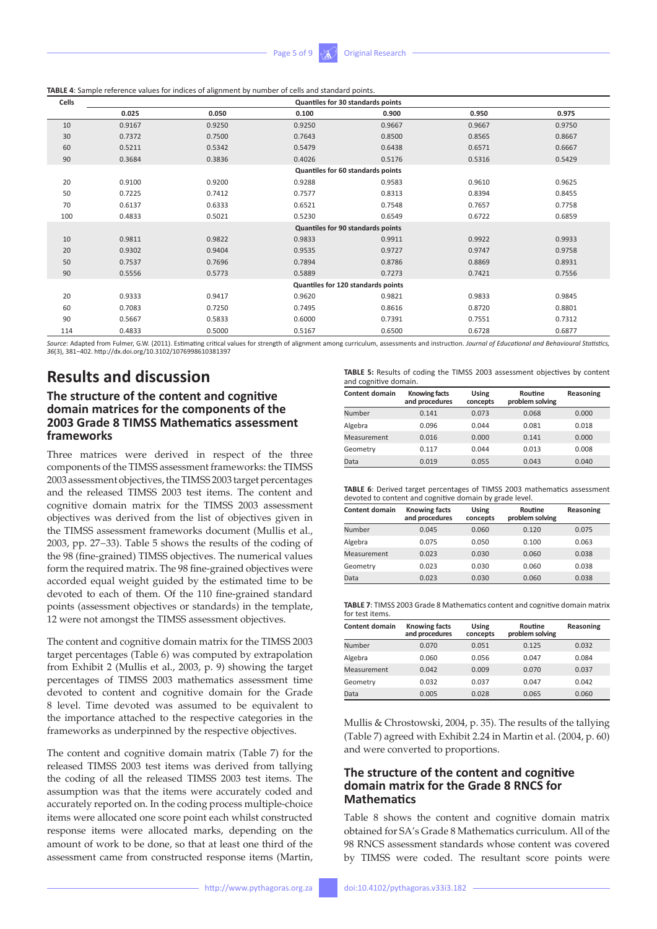**TABLE 4**: Sample reference values for indices of alignment by number of cells and standard points.

| Cells |        |        |        | Quantiles for 30 standards points  |        |        |  |  |
|-------|--------|--------|--------|------------------------------------|--------|--------|--|--|
|       | 0.025  | 0.050  | 0.100  | 0.900                              | 0.950  | 0.975  |  |  |
| 10    | 0.9167 | 0.9250 | 0.9250 | 0.9667                             | 0.9667 | 0.9750 |  |  |
| 30    | 0.7372 | 0.7500 | 0.7643 | 0.8500                             | 0.8565 | 0.8667 |  |  |
| 60    | 0.5211 | 0.5342 | 0.5479 | 0.6438                             | 0.6571 | 0.6667 |  |  |
| 90    | 0.3684 | 0.3836 | 0.4026 | 0.5176                             | 0.5316 | 0.5429 |  |  |
|       |        |        |        | Quantiles for 60 standards points  |        |        |  |  |
| 20    | 0.9100 | 0.9200 | 0.9288 | 0.9583                             | 0.9610 | 0.9625 |  |  |
| 50    | 0.7225 | 0.7412 | 0.7577 | 0.8313                             | 0.8394 | 0.8455 |  |  |
| 70    | 0.6137 | 0.6333 | 0.6521 | 0.7548                             | 0.7657 | 0.7758 |  |  |
| 100   | 0.4833 | 0.5021 | 0.5230 | 0.6549                             | 0.6722 | 0.6859 |  |  |
|       |        |        |        | Quantiles for 90 standards points  |        |        |  |  |
| 10    | 0.9811 | 0.9822 | 0.9833 | 0.9911                             | 0.9922 | 0.9933 |  |  |
| 20    | 0.9302 | 0.9404 | 0.9535 | 0.9727                             | 0.9747 | 0.9758 |  |  |
| 50    | 0.7537 | 0.7696 | 0.7894 | 0.8786                             | 0.8869 | 0.8931 |  |  |
| 90    | 0.5556 | 0.5773 | 0.5889 | 0.7273                             | 0.7421 | 0.7556 |  |  |
|       |        |        |        | Quantiles for 120 standards points |        |        |  |  |
| 20    | 0.9333 | 0.9417 | 0.9620 | 0.9821                             | 0.9833 | 0.9845 |  |  |
| 60    | 0.7083 | 0.7250 | 0.7495 | 0.8616                             | 0.8720 | 0.8801 |  |  |
| 90    | 0.5667 | 0.5833 | 0.6000 | 0.7391                             | 0.7551 | 0.7312 |  |  |
| 114   | 0.4833 | 0.5000 | 0.5167 | 0.6500                             | 0.6728 | 0.6877 |  |  |

*Source*: Adapted from Fulmer, G.W. (2011). Estimating critical values for strength of alignment among curriculum, assessments and instruction. *Journal of Educational and Behavioural Statistics, 36*(3), 381−402. <http://dx.doi.org/10.3102/1076998610381397>

# **Results and discussion**

### **The structure of the content and cognitive domain matrices for the components of the 2003 Grade 8 TIMSS Mathematics assessment frameworks**

Three matrices were derived in respect of the three components of the TIMSS assessment frameworks: the TIMSS 2003 assessment objectives, the TIMSS 2003 target percentages and the released TIMSS 2003 test items. The content and cognitive domain matrix for the TIMSS 2003 assessment objectives was derived from the list of objectives given in the TIMSS assessment frameworks document (Mullis et al., 2003, pp. 27−33). Table 5 shows the results of the coding of the 98 (fine-grained) TIMSS objectives. The numerical values form the required matrix. The 98 fine-grained objectives were accorded equal weight guided by the estimated time to be devoted to each of them. Of the 110 fine-grained standard points (assessment objectives or standards) in the template, 12 were not amongst the TIMSS assessment objectives.

The content and cognitive domain matrix for the TIMSS 2003 target percentages (Table 6) was computed by extrapolation from Exhibit 2 (Mullis et al., 2003, p. 9) showing the target percentages of TIMSS 2003 mathematics assessment time devoted to content and cognitive domain for the Grade 8 level. Time devoted was assumed to be equivalent to the importance attached to the respective categories in the frameworks as underpinned by the respective objectives.

The content and cognitive domain matrix (Table 7) for the released TIMSS 2003 test items was derived from tallying the coding of all the released TIMSS 2003 test items. The assumption was that the items were accurately coded and accurately reported on. In the coding process multiple-choice items were allocated one score point each whilst constructed response items were allocated marks, depending on the amount of work to be done, so that at least one third of the assessment came from constructed response items (Martin,

**TABLE 5:** Results of coding the TIMSS 2003 assessment objectives by content and cognitive domain.

| Content domain | <b>Knowing facts</b><br>and procedures | Using<br>concepts | Routine<br>problem solving | Reasoning |
|----------------|----------------------------------------|-------------------|----------------------------|-----------|
| Number         | 0.141                                  | 0.073             | 0.068                      | 0.000     |
| Algebra        | 0.096                                  | 0.044             | 0.081                      | 0.018     |
| Measurement    | 0.016                                  | 0.000             | 0.141                      | 0.000     |
| Geometry       | 0.117                                  | 0.044             | 0.013                      | 0.008     |
| Data           | 0.019                                  | 0.055             | 0.043                      | 0.040     |

| <b>TABLE 6:</b> Derived target percentages of TIMSS 2003 mathematics assessment |  |
|---------------------------------------------------------------------------------|--|
| devoted to content and cognitive domain by grade level.                         |  |

| Content domain | <b>Knowing facts</b><br>and procedures | Using<br>concepts | Routine<br>problem solving | Reasoning |
|----------------|----------------------------------------|-------------------|----------------------------|-----------|
| Number         | 0.045                                  | 0.060             | 0.120                      | 0.075     |
| Algebra        | 0.075                                  | 0.050             | 0.100                      | 0.063     |
| Measurement    | 0.023                                  | 0.030             | 0.060                      | 0.038     |
| Geometry       | 0.023                                  | 0.030             | 0.060                      | 0.038     |
| Data           | 0.023                                  | 0.030             | 0.060                      | 0.038     |

| <b>TABLE 7:</b> TIMSS 2003 Grade 8 Mathematics content and cognitive domain matrix |
|------------------------------------------------------------------------------------|
| for test items.                                                                    |

| Content domain | <b>Knowing facts</b><br>and procedures | Using<br>concepts | Routine<br>problem solving | Reasoning |
|----------------|----------------------------------------|-------------------|----------------------------|-----------|
| Number         | 0.070                                  | 0.051             | 0.125                      | 0.032     |
| Algebra        | 0.060                                  | 0.056             | 0.047                      | 0.084     |
| Measurement    | 0.042                                  | 0.009             | 0.070                      | 0.037     |
| Geometry       | 0.032                                  | 0.037             | 0.047                      | 0.042     |
| Data           | 0.005                                  | 0.028             | 0.065                      | 0.060     |

Mullis & Chrostowski, 2004, p. 35). The results of the tallying (Table 7) agreed with Exhibit 2.24 in Martin et al. (2004, p. 60) and were converted to proportions.

### **The structure of the content and cognitive domain matrix for the Grade 8 RNCS for Mathematics**

Table 8 shows the content and cognitive domain matrix obtained for SA's Grade 8 Mathematics curriculum. All of the 98 RNCS assessment standards whose content was covered by TIMSS were coded. The resultant score points were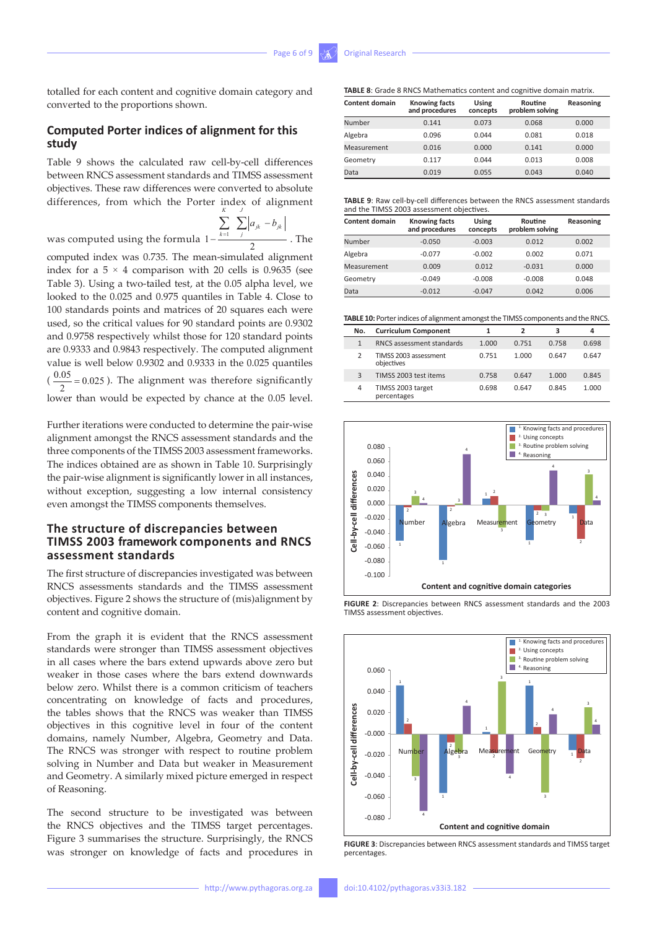totalled for each content and cognitive domain category and converted to the proportions shown.

### **Computed Porter indices of alignment for this study**

Table 9 shows the calculated raw cell-by-cell differences between RNCS assessment standards and TIMSS assessment objectives. These raw differences were converted to absolute differences, from which the Porter index of alignment

was computed using the formula 
$$
1 - \frac{\sum_{k=1}^{K} \sum_{j}^{J} |a_{jk} - b_{jk}|}{2}
$$
. The

computed index was 0.735. The mean-simulated alignment index for a  $5 \times 4$  comparison with 20 cells is 0.9635 (see Table 3). Using a two-tailed test, at the 0.05 alpha level, we looked to the 0.025 and 0.975 quantiles in Table 4. Close to 100 standards points and matrices of 20 squares each were used, so the critical values for 90 standard points are 0.9302 and 0.9758 respectively whilst those for 120 standard points are 0.9333 and 0.9843 respectively. The computed alignment value is well below 0.9302 and 0.9333 in the 0.025 quantiles  $\left(\frac{0.05}{2} = 0.025\right)$ . The alignment was therefore significantly lower than would be expected by chance at the 0.05 level.  $0.05$ 2

Further iterations were conducted to determine the pair-wise alignment amongst the RNCS assessment standards and the three components of the TIMSS 2003 assessment frameworks. The indices obtained are as shown in Table 10. Surprisingly the pair-wise alignment is significantly lower in all instances, without exception, suggesting a low internal consistency even amongst the TIMSS components themselves.

### **The structure of discrepancies between TIMSS 2003 framework components and RNCS assessment standards**

The first structure of discrepancies investigated was between RNCS assessments standards and the TIMSS assessment objectives. Figure 2 shows the structure of (mis)alignment by content and cognitive domain.

From the graph it is evident that the RNCS assessment standards were stronger than TIMSS assessment objectives in all cases where the bars extend upwards above zero but weaker in those cases where the bars extend downwards below zero. Whilst there is a common criticism of teachers concentrating on knowledge of facts and procedures, the tables shows that the RNCS was weaker than TIMSS objectives in this cognitive level in four of the content domains, namely Number, Algebra, Geometry and Data. The RNCS was stronger with respect to routine problem solving in Number and Data but weaker in Measurement and Geometry. A similarly mixed picture emerged in respect of Reasoning.

The second structure to be investigated was between the RNCS objectives and the TIMSS target percentages. Figure 3 summarises the structure. Surprisingly, the RNCS was stronger on knowledge of facts and procedures in

**TABLE 8**: Grade 8 RNCS Mathematics content and cognitive domain matrix.

| Content domain | <b>Knowing facts</b><br>and procedures | Using<br>concepts | Routine<br>problem solving | Reasoning |
|----------------|----------------------------------------|-------------------|----------------------------|-----------|
| Number         | 0.141                                  | 0.073             | 0.068                      | 0.000     |
| Algebra        | 0.096                                  | 0.044             | 0.081                      | 0.018     |
| Measurement    | 0.016                                  | 0.000             | 0.141                      | 0.000     |
| Geometry       | 0.117                                  | 0.044             | 0.013                      | 0.008     |
| Data           | 0.019                                  | 0.055             | 0.043                      | 0.040     |

**TABLE 9**: Raw cell-by-cell differences between the RNCS assessment standards and the TIMSS 2003 assessment objectives.

| <b>Content domain</b> | <b>Knowing facts</b><br>and procedures | Using<br>concepts | Routine<br>problem solving | Reasoning |
|-----------------------|----------------------------------------|-------------------|----------------------------|-----------|
| Number                | $-0.050$                               | $-0.003$          | 0.012                      | 0.002     |
| Algebra               | $-0.077$                               | $-0.002$          | 0.002                      | 0.071     |
| Measurement           | 0.009                                  | 0.012             | $-0.031$                   | 0.000     |
| Geometry              | $-0.049$                               | $-0.008$          | $-0.008$                   | 0.048     |
| Data                  | $-0.012$                               | $-0.047$          | 0.042                      | 0.006     |

| TABLE 10: Porter indices of alignment amongst the TIMSS components and the RNCS. |  |  |
|----------------------------------------------------------------------------------|--|--|
|                                                                                  |  |  |

| No.           | <b>Curriculum Component</b>         |       | 2     | з     | 4     |
|---------------|-------------------------------------|-------|-------|-------|-------|
| 1             | RNCS assessment standards           | 1.000 | 0.751 | 0.758 | 0.698 |
| $\mathcal{P}$ | TIMSS 2003 assessment<br>objectives | 0.751 | 1.000 | 0.647 | 0.647 |
| 3             | TIMSS 2003 test items               | 0.758 | 0.647 | 1.000 | 0.845 |
| 4             | TIMSS 2003 target<br>percentages    | 0.698 | 0.647 | 0.845 | 1.000 |



**FIGURE 2**: Discrepancies between RNCS assessment standards and the 2003 TIMSS assessment objectives.



**FIGURE 3**: Discrepancies between RNCS assessment standards and TIMSS target percentages.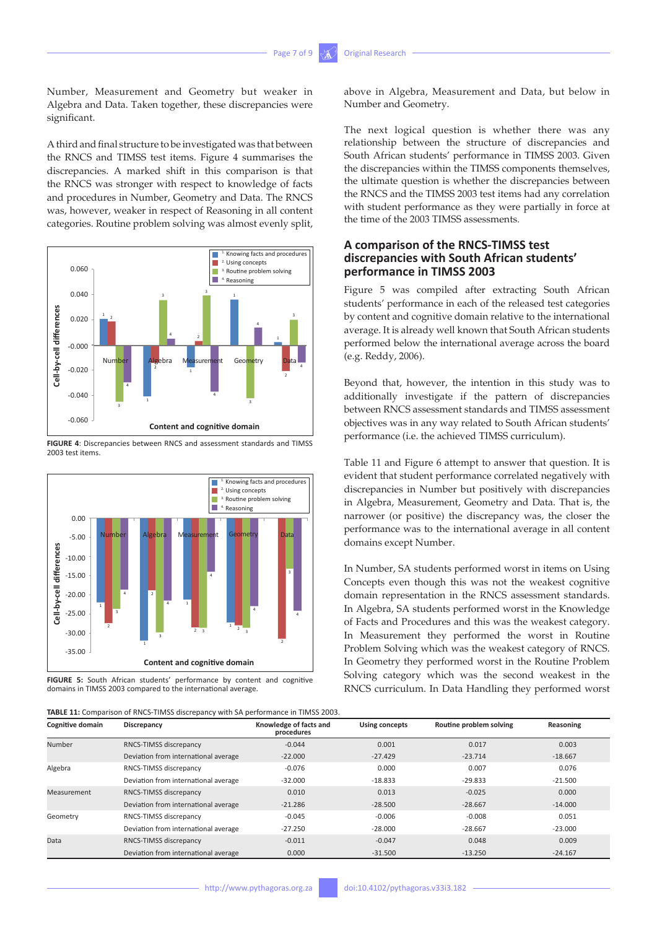Number, Measurement and Geometry but weaker in Algebra and Data. Taken together, these discrepancies were significant.

A third and final structure to be investigated was that between the RNCS and TIMSS test items. Figure 4 summarises the discrepancies. A marked shift in this comparison is that the RNCS was stronger with respect to knowledge of facts and procedures in Number, Geometry and Data. The RNCS was, however, weaker in respect of Reasoning in all content categories. Routine problem solving was almost evenly split,



**FIGURE 4**: Discrepancies between RNCS and assessment standards and TIMSS 2003 test items.



**FIGURE 5:** South African students' performance by content and cognitive

**TABLE 11:** Comparison of RNCS-TIMSS discrepancy with SA performance in TIMSS 2003.

above in Algebra, Measurement and Data, but below in Number and Geometry.

The next logical question is whether there was any relationship between the structure of discrepancies and South African students' performance in TIMSS 2003. Given the discrepancies within the TIMSS components themselves, the ultimate question is whether the discrepancies between the RNCS and the TIMSS 2003 test items had any correlation with student performance as they were partially in force at the time of the 2003 TIMSS assessments.

#### **A comparison of the RNCS-TIMSS test discrepancies with South African students' performance in TIMSS 2003**

Figure 5 was compiled after extracting South African students' performance in each of the released test categories by content and cognitive domain relative to the international average. It is already well known that South African students performed below the international average across the board (e.g. Reddy, 2006).

Beyond that, however, the intention in this study was to additionally investigate if the pattern of discrepancies between RNCS assessment standards and TIMSS assessment objectives was in any way related to South African students' performance (i.e. the achieved TIMSS curriculum).

Table 11 and Figure 6 attempt to answer that question. It is evident that student performance correlated negatively with discrepancies in Number but positively with discrepancies in Algebra, Measurement, Geometry and Data. That is, the narrower (or positive) the discrepancy was, the closer the performance was to the international average in all content domains except Number.

In Number, SA students performed worst in items on Using Concepts even though this was not the weakest cognitive domain representation in the RNCS assessment standards. In Algebra, SA students performed worst in the Knowledge of Facts and Procedures and this was the weakest category. In Measurement they performed the worst in Routine Problem Solving which was the weakest category of RNCS. In Geometry they performed worst in the Routine Problem Solving category which was the second weakest in the RNCS curriculum. In Data Handling they performed worst

| Cognitive domain | Discrepancy                          | Knowledge of facts and<br>procedures | <b>Using concepts</b> | Routine problem solving | Reasoning |
|------------------|--------------------------------------|--------------------------------------|-----------------------|-------------------------|-----------|
| Number           | RNCS-TIMSS discrepancy               | $-0.044$                             | 0.001                 | 0.017                   | 0.003     |
|                  | Deviation from international average | $-22.000$                            | $-27.429$             | $-23.714$               | $-18.667$ |
| Algebra          | RNCS-TIMSS discrepancy               | $-0.076$                             | 0.000                 | 0.007                   | 0.076     |
|                  | Deviation from international average | $-32.000$                            | $-18.833$             | $-29.833$               | $-21.500$ |
| Measurement      | RNCS-TIMSS discrepancy               | 0.010                                | 0.013                 | $-0.025$                | 0.000     |
|                  | Deviation from international average | $-21.286$                            | $-28.500$             | $-28.667$               | $-14.000$ |
| Geometry         | RNCS-TIMSS discrepancy               | $-0.045$                             | $-0.006$              | $-0.008$                | 0.051     |
|                  | Deviation from international average | $-27.250$                            | $-28.000$             | $-28.667$               | $-23.000$ |
| Data             | RNCS-TIMSS discrepancy               | $-0.011$                             | $-0.047$              | 0.048                   | 0.009     |
|                  | Deviation from international average | 0.000                                | $-31.500$             | $-13.250$               | $-24.167$ |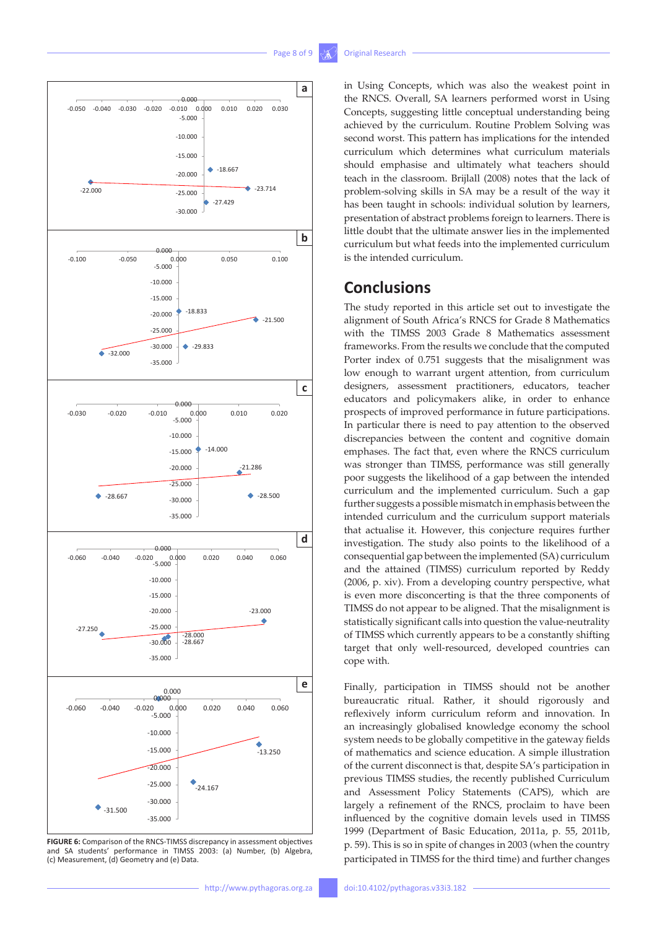

**FIGURE 6:** Comparison of the RNCS-TIMSS discrepancy in assessment objectives and SA students' performance in TIMSS 2003: (a) Number, (b) Algebra, (c) Measurement, (d) Geometry and (e) Data.

in Using Concepts, which was also the weakest point in the RNCS. Overall, SA learners performed worst in Using Concepts, suggesting little conceptual understanding being achieved by the curriculum. Routine Problem Solving was second worst. This pattern has implications for the intended curriculum which determines what curriculum materials should emphasise and ultimately what teachers should teach in the classroom. Brijlall (2008) notes that the lack of problem-solving skills in SA may be a result of the way it has been taught in schools: individual solution by learners, presentation of abstract problems foreign to learners. There is little doubt that the ultimate answer lies in the implemented curriculum but what feeds into the implemented curriculum is the intended curriculum.

# **Conclusions**

The study reported in this article set out to investigate the alignment of South Africa's RNCS for Grade 8 Mathematics with the TIMSS 2003 Grade 8 Mathematics assessment frameworks. From the results we conclude that the computed Porter index of 0.751 suggests that the misalignment was low enough to warrant urgent attention, from curriculum designers, assessment practitioners, educators, teacher educators and policymakers alike, in order to enhance prospects of improved performance in future participations. In particular there is need to pay attention to the observed discrepancies between the content and cognitive domain emphases. The fact that, even where the RNCS curriculum was stronger than TIMSS, performance was still generally poor suggests the likelihood of a gap between the intended curriculum and the implemented curriculum. Such a gap further suggests a possible mismatch in emphasis between the intended curriculum and the curriculum support materials that actualise it. However, this conjecture requires further investigation. The study also points to the likelihood of a consequential gap between the implemented (SA) curriculum and the attained (TIMSS) curriculum reported by Reddy (2006, p. xiv). From a developing country perspective, what is even more disconcerting is that the three components of TIMSS do not appear to be aligned. That the misalignment is statistically significant calls into question the value-neutrality of TIMSS which currently appears to be a constantly shifting target that only well-resourced, developed countries can cope with.

Finally, participation in TIMSS should not be another bureaucratic ritual. Rather, it should rigorously and reflexively inform curriculum reform and innovation. In an increasingly globalised knowledge economy the school system needs to be globally competitive in the gateway fields of mathematics and science education. A simple illustration of the current disconnect is that, despite SA's participation in previous TIMSS studies, the recently published Curriculum and Assessment Policy Statements (CAPS), which are largely a refinement of the RNCS, proclaim to have been influenced by the cognitive domain levels used in TIMSS 1999 (Department of Basic Education, 2011a, p. 55, 2011b, p. 59). This is so in spite of changes in 2003 (when the country participated in TIMSS for the third time) and further changes